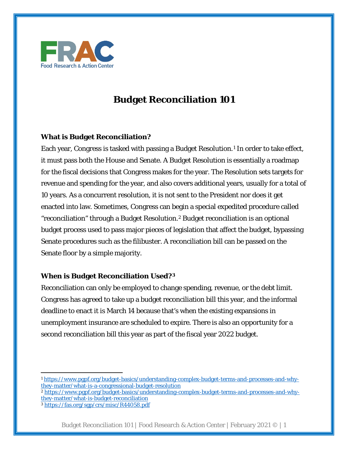

# **Budget Reconciliation 101**

## **What is Budget Reconciliation?**

Each year, Congress is tasked with passing a Budget Resolution.<sup>[1](#page-0-0)</sup> In order to take effect, it must pass both the House and Senate. A Budget Resolution is essentially a roadmap for the fiscal decisions that Congress makes for the year. The Resolution sets targets for revenue and spending for the year, and also covers additional years, usually for a total of 10 years. As a concurrent resolution, it is not sent to the President nor does it get enacted into law. Sometimes, Congress can begin a special expedited procedure called "reconciliation" through a Budget Resolution.[2](#page-0-1) Budget reconciliation is an optional budget process used to pass major pieces of legislation that affect the budget, bypassing Senate procedures such as the filibuster. A reconciliation bill can be passed on the Senate floor by a simple majority.

## **When is Budget Reconciliation Used?[3](#page-0-2)**

Reconciliation can only be employed to change spending, revenue, or the debt limit. Congress has agreed to take up a budget reconciliation bill this year, and the informal deadline to enact it is March 14 because that's when the existing expansions in unemployment insurance are scheduled to expire. There is also an opportunity for a second reconciliation bill this year as part of the fiscal year 2022 budget.

<span id="page-0-0"></span><sup>1</sup> [https://www.pgpf.org/budget-basics/understanding-complex-budget-terms-and-processes-and-why](https://www.pgpf.org/budget-basics/understanding-complex-budget-terms-and-processes-and-why-they-matter/what-is-a-congressional-budget-resolution)[they-matter/what-is-a-congressional-budget-resolution](https://www.pgpf.org/budget-basics/understanding-complex-budget-terms-and-processes-and-why-they-matter/what-is-a-congressional-budget-resolution)

<span id="page-0-1"></span><sup>2</sup> [https://www.pgpf.org/budget-basics/understanding-complex-budget-terms-and-processes-and-why](https://www.pgpf.org/budget-basics/understanding-complex-budget-terms-and-processes-and-why-they-matter/what-is-budget-reconciliation)[they-matter/what-is-budget-reconciliation](https://www.pgpf.org/budget-basics/understanding-complex-budget-terms-and-processes-and-why-they-matter/what-is-budget-reconciliation)

<span id="page-0-2"></span><sup>3</sup> <https://fas.org/sgp/crs/misc/R44058.pdf>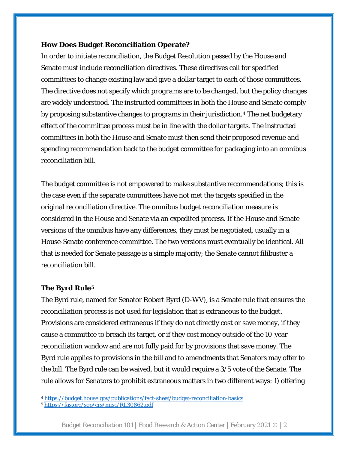#### **How Does Budget Reconciliation Operate?**

In order to initiate reconciliation, the Budget Resolution passed by the House and Senate must include reconciliation directives. These directives call for specified committees to change existing law and give a dollar target to each of those committees. The directive does not specify which *programs* are to be changed, but the policy changes are widely understood. The instructed committees in both the House and Senate comply by proposing substantive changes to programs in their jurisdiction.[4](#page-1-0) The net budgetary effect of the committee process must be in line with the dollar targets. The instructed committees in both the House and Senate must then send their proposed revenue and spending recommendation back to the budget committee for packaging into an omnibus reconciliation bill.

The budget committee is not empowered to make substantive recommendations; this is the case even if the separate committees have not met the targets specified in the original reconciliation directive. The omnibus budget reconciliation measure is considered in the House and Senate via an expedited process. If the House and Senate versions of the omnibus have any differences, they must be negotiated, usually in a House-Senate conference committee. The two versions must eventually be identical. All that is needed for Senate passage is a simple majority; the Senate cannot filibuster a reconciliation bill.

### **The Byrd Rule[5](#page-1-1)**

The Byrd rule, named for Senator Robert Byrd (D-WV), is a Senate rule that ensures the reconciliation process is not used for legislation that is extraneous to the budget. Provisions are considered extraneous if they do not directly cost or save money, if they cause a committee to breach its target, or if they cost money outside of the 10-year reconciliation window and are not fully paid for by provisions that save money. The Byrd rule applies to provisions in the bill and to amendments that Senators may offer to the bill. The Byrd rule can be waived, but it would require a 3/5 vote of the Senate. The rule allows for Senators to prohibit extraneous matters in two different ways: 1) offering

Budget Reconciliation 101 | Food Research & Action Center | February 2021 © | 2

<span id="page-1-0"></span><sup>4</sup> <https://budget.house.gov/publications/fact-sheet/budget-reconciliation-basics>

<span id="page-1-1"></span><sup>5</sup> <https://fas.org/sgp/crs/misc/RL30862.pdf>